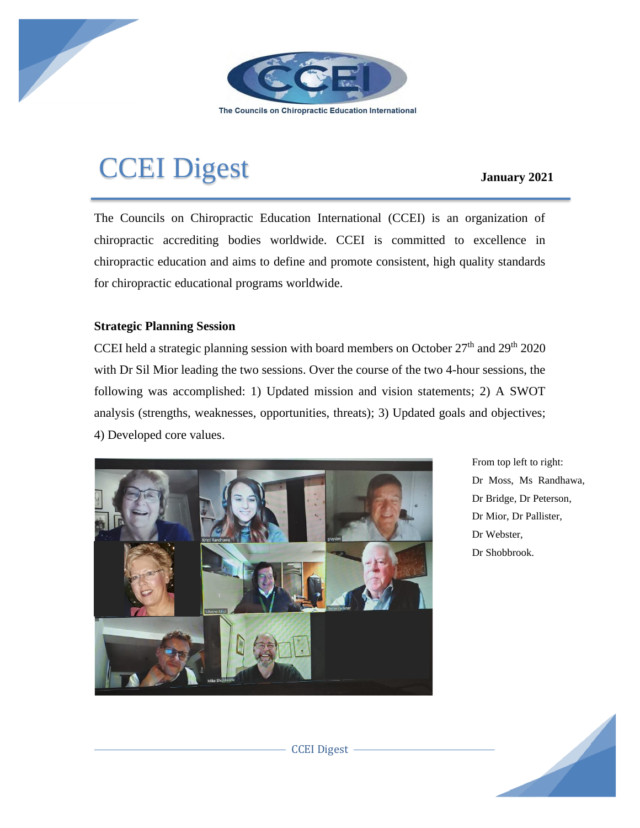

The Councils on Chiropractic Education International

## CCEI Digest **January <sup>2021</sup>**

The Councils on Chiropractic Education International (CCEI) is an organization of chiropractic accrediting bodies worldwide. CCEI is committed to excellence in chiropractic education and aims to define and promote consistent, high quality standards for chiropractic educational programs worldwide.

## **Strategic Planning Session**

CCEI held a strategic planning session with board members on October  $27<sup>th</sup>$  and  $29<sup>th</sup>$  2020 with Dr Sil Mior leading the two sessions. Over the course of the two 4-hour sessions, the following was accomplished: 1) Updated mission and vision statements; 2) A SWOT analysis (strengths, weaknesses, opportunities, threats); 3) Updated goals and objectives; 4) Developed core values.



From top left to right: Dr Moss, Ms Randhawa, Dr Bridge, Dr Peterson, Dr Mior, Dr Pallister, Dr Webster, Dr Shobbrook.

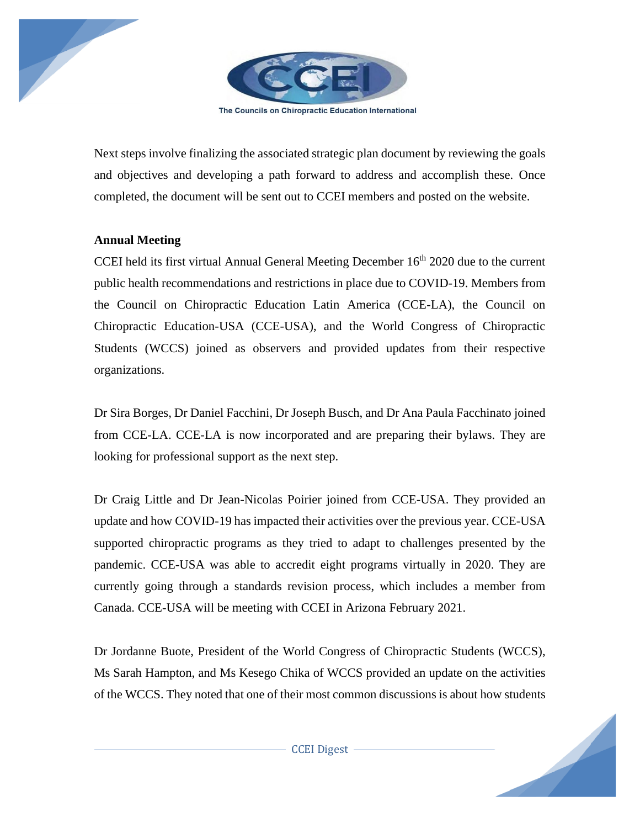

The Councils on Chiropractic Education International

Next steps involve finalizing the associated strategic plan document by reviewing the goals and objectives and developing a path forward to address and accomplish these. Once completed, the document will be sent out to CCEI members and posted on the website.

## **Annual Meeting**

CCEI held its first virtual Annual General Meeting December  $16<sup>th</sup>$  2020 due to the current public health recommendations and restrictions in place due to COVID-19. Members from the Council on Chiropractic Education Latin America (CCE-LA), the Council on Chiropractic Education-USA (CCE-USA), and the World Congress of Chiropractic Students (WCCS) joined as observers and provided updates from their respective organizations.

Dr Sira Borges, Dr Daniel Facchini, Dr Joseph Busch, and Dr Ana Paula Facchinato joined from CCE-LA. CCE-LA is now incorporated and are preparing their bylaws. They are looking for professional support as the next step.

Dr Craig Little and Dr Jean-Nicolas Poirier joined from CCE-USA. They provided an update and how COVID-19 has impacted their activities over the previous year. CCE-USA supported chiropractic programs as they tried to adapt to challenges presented by the pandemic. CCE-USA was able to accredit eight programs virtually in 2020. They are currently going through a standards revision process, which includes a member from Canada. CCE-USA will be meeting with CCEI in Arizona February 2021.

Dr Jordanne Buote, President of the World Congress of Chiropractic Students (WCCS), Ms Sarah Hampton, and Ms Kesego Chika of WCCS provided an update on the activities of the WCCS. They noted that one of their most common discussions is about how students